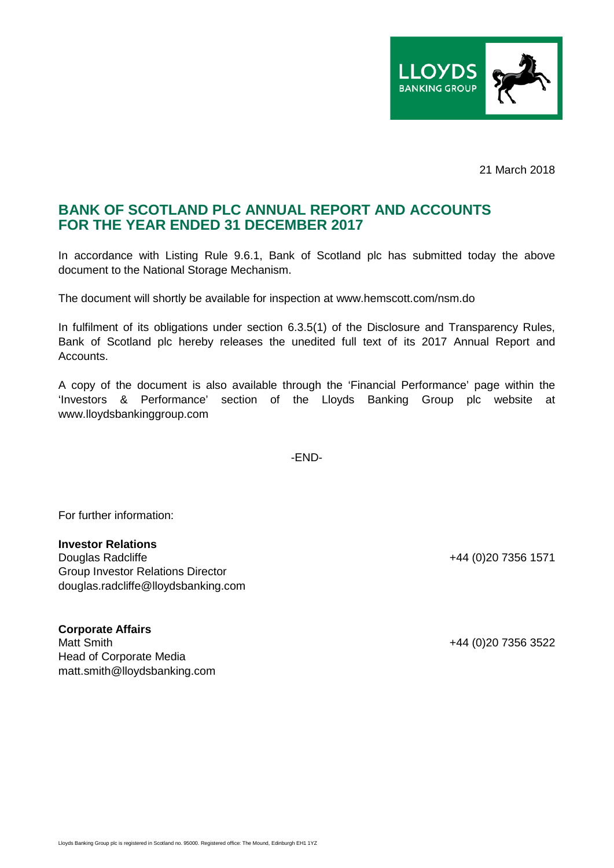

21 March 2018

## **BANK OF SCOTLAND PLC ANNUAL REPORT AND ACCOUNTS FOR THE YEAR ENDED 31 DECEMBER 2017**

In accordance with Listing Rule 9.6.1, Bank of Scotland plc has submitted today the above document to the National Storage Mechanism.

The document will shortly be available for inspection at www.hemscott.com/nsm.do

In fulfilment of its obligations under section 6.3.5(1) of the Disclosure and Transparency Rules, Bank of Scotland plc hereby releases the unedited full text of its 2017 Annual Report and Accounts.

A copy of the document is also available through the 'Financial Performance' page within the 'Investors & Performance' section of the Lloyds Banking Group plc website at www.lloydsbankinggroup.com

-END-

For further information:

## **Investor Relations**

Group Investor Relations Director douglas.radcliffe@lloydsbanking.com

## **Corporate Affairs**

Matt Smith +44 (0)20 7356 3522 Head of Corporate Media matt.smith@lloydsbanking.com

+44 (0)20 7356 1571